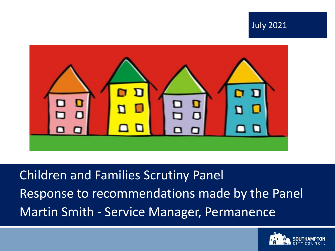



Children and Families Scrutiny Panel Response to recommendations made by the Panel Martin Smith - Service Manager, Permanence

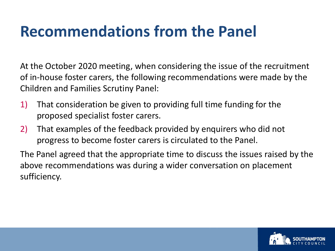#### **Recommendations from the Panel**

At the October 2020 meeting, when considering the issue of the recruitment of in-house foster carers, the following recommendations were made by the Children and Families Scrutiny Panel:

- 1) That consideration be given to providing full time funding for the proposed specialist foster carers.
- 2) That examples of the feedback provided by enquirers who did not progress to become foster carers is circulated to the Panel.

The Panel agreed that the appropriate time to discuss the issues raised by the above recommendations was during a wider conversation on placement sufficiency.

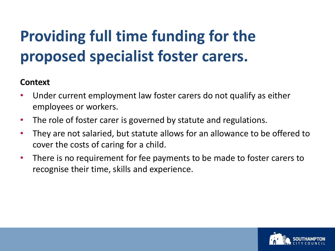# **Providing full time funding for the proposed specialist foster carers.**

#### **Context**

- Under current employment law foster carers do not qualify as either employees or workers.
- The role of foster carer is governed by statute and regulations.
- They are not salaried, but statute allows for an allowance to be offered to cover the costs of caring for a child.
- There is no requirement for fee payments to be made to foster carers to recognise their time, skills and experience.

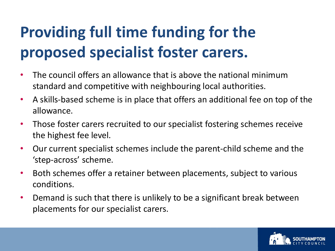# **Providing full time funding for the proposed specialist foster carers.**

- The council offers an allowance that is above the national minimum standard and competitive with neighbouring local authorities.
- A skills-based scheme is in place that offers an additional fee on top of the allowance.
- Those foster carers recruited to our specialist fostering schemes receive the highest fee level.
- Our current specialist schemes include the parent-child scheme and the 'step-across' scheme.
- Both schemes offer a retainer between placements, subject to various conditions.
- Demand is such that there is unlikely to be a significant break between placements for our specialist carers.

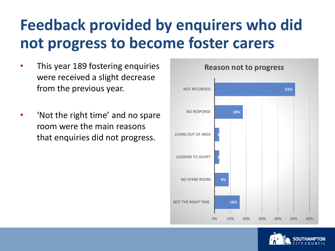## **Feedback provided by enquirers who did not progress to become foster carers**

- This year 189 fostering enquiries were received a slight decrease from the previous year.
- 'Not the right time' and no spare room were the main reasons that enquiries did not progress.